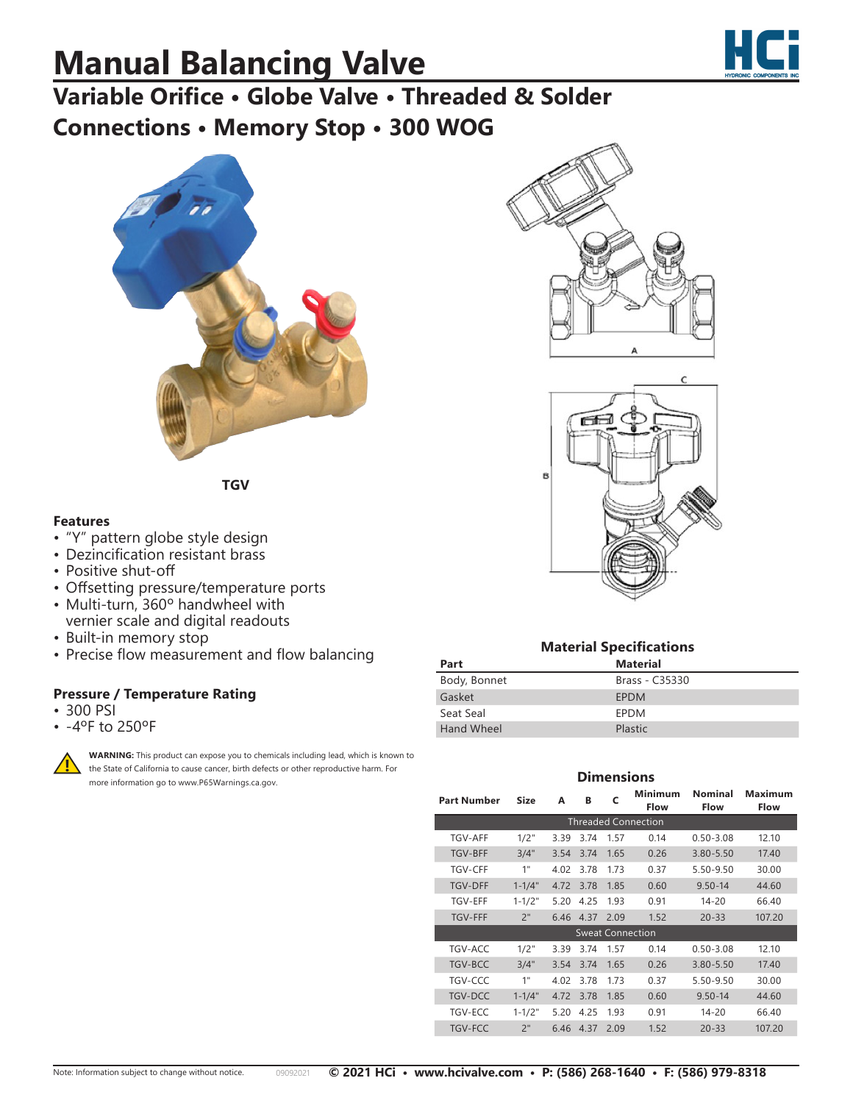# **Manual Balancing Valve**



## **Variable Orifice • Globe Valve • Threaded & Solder Connections • Memory Stop • 300 WOG**



**TGV**

### **Features**

- "Y" pattern globe style design
- Dezincification resistant brass
- Positive shut-off
- Offsetting pressure/temperature ports
- Multi-turn, 360º handwheel with vernier scale and digital readouts
- Built-in memory stop
- Precise flow measurement and flow balancing

### **Pressure / Temperature Rating**

- 300 PSI
- -4ºF to 250ºF



**WARNING:** This product can expose you to chemicals including lead, which is known to the State of California to cause cancer, birth defects or other reproductive harm. For more information go to www.P65Warnings.ca.gov.





#### **Material Specifications Part Material** Body, Bonnet Brass - C35330 Gasket **EPDM**

### **Dimensions**

| <b>Part Number</b>         | <b>Size</b> | A    | В    | C    | Minimum<br><b>Flow</b> | Nominal<br><b>Flow</b> | Maximum<br><b>Flow</b> |
|----------------------------|-------------|------|------|------|------------------------|------------------------|------------------------|
| <b>Threaded Connection</b> |             |      |      |      |                        |                        |                        |
| TGV-AFF                    | 1/2"        | 3.39 | 3.74 | 1.57 | 0.14                   | $0.50 - 3.08$          | 12.10                  |
| <b>TGV-BFF</b>             | 3/4"        | 3.54 | 3.74 | 1.65 | 0.26                   | 3.80-5.50              | 17.40                  |
| <b>TGV-CFF</b>             | 1"          | 4.02 | 3.78 | 1.73 | 0.37                   | 5.50-9.50              | 30.00                  |
| <b>TGV-DFF</b>             | $1 - 1/4"$  | 4.72 | 3.78 | 1.85 | 0.60                   | $9.50 - 14$            | 44.60                  |
| <b>TGV-EFF</b>             | $1 - 1/2"$  | 5.20 | 4.25 | 1.93 | 0.91                   | $14 - 20$              | 66.40                  |
| <b>TGV-FFF</b>             | 2"          | 6.46 | 4.37 | 2.09 | 1.52                   | $20 - 33$              | 107.20                 |
| <b>Sweat Connection</b>    |             |      |      |      |                        |                        |                        |
| TGV-ACC                    | 1/2"        | 3.39 | 3.74 | 1.57 | 0.14                   | $0.50 - 3.08$          | 12.10                  |
| <b>TGV-BCC</b>             | 3/4"        | 3.54 | 3.74 | 1.65 | 0.26                   | $3.80 - 5.50$          | 17.40                  |
| TGV-CCC                    | 1"          | 4.02 | 3.78 | 1.73 | 0.37                   | 5.50-9.50              | 30.00                  |
| <b>TGV-DCC</b>             | $1 - 1/4"$  | 4.72 | 3.78 | 1.85 | 0.60                   | $9.50 - 14$            | 44.60                  |
| TGV-ECC                    | $1 - 1/2"$  | 5.20 | 4.25 | 1.93 | 0.91                   | $14 - 20$              | 66.40                  |
| TGV-FCC                    | 2"          | 6.46 | 4.37 | 2.09 | 1.52                   | $20 - 33$              | 107.20                 |

Seat Seal EPDM Hand Wheel **Plastic**